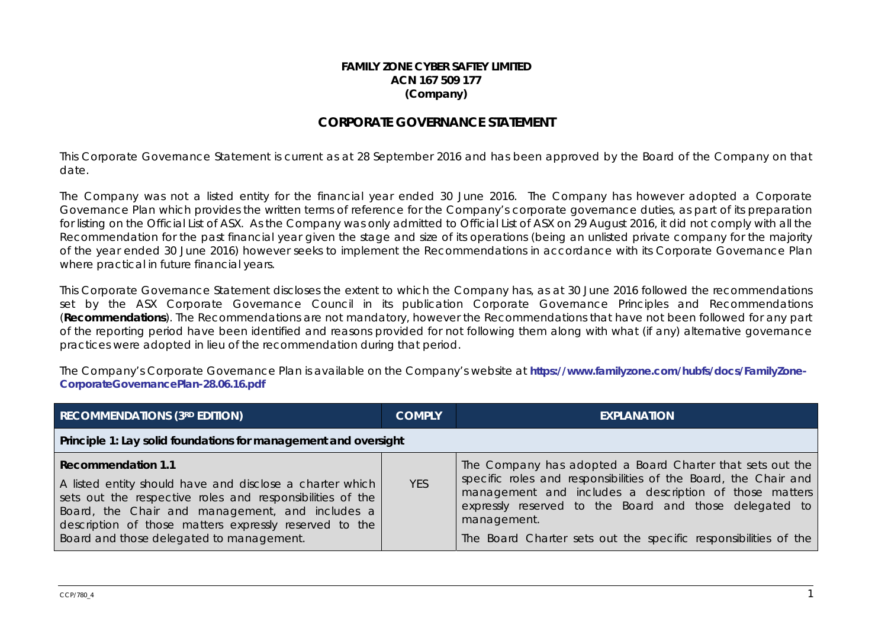## **FAMILY ZONE CYBER SAFTEY LIMITEDACN 167 509 177 (Company)**

## **CORPORATE GOVERNANCE STATEMENT**

This Corporate Governance Statement is current as at 28 September 2016 and has been approved by the Board of the Company on that date.

The Company was not a listed entity for the financial year ended 30 June 2016. The Company has however adopted a Corporate Governance Plan which provides the written terms of reference for the Company's corporate governance duties, as part of its preparation for listing on the Official List of ASX. As the Company was only admitted to Official List of ASX on 29 August 2016, it did not comply with all the Recommendation for the past financial year given the stage and size of its operations (being an unlisted private company for the majority of the year ended 30 June 2016) however seeks to implement the Recommendations in accordance with its Corporate Governance Plan where practical in future financial years.

This Corporate Governance Statement discloses the extent to which the Company has, as at 30 June 2016 followed the recommendations set by the ASX Corporate Governance Council in its publication Corporate Governance Principles and Recommendations (**Recommendations**). The Recommendations are not mandatory, however the Recommendations that have not been followed for any part of the reporting period have been identified and reasons provided for not following them along with what (if any) alternative governance practices were adopted in lieu of the recommendation during that period.

The Company's Corporate Governance Plan is available on the Company's website at **https://www.familyzone.com/hubfs/docs/FamilyZone-CorporateGovernancePlan-28.06.16.pdf**

| <b>RECOMMENDATIONS (3RD EDITION)</b>                                                                                                                                                                                                                                                                 | <b>COMPLY</b> | <b>EXPLANATION</b>                                                                                                                                                                                                                                                                                                                 |  |
|------------------------------------------------------------------------------------------------------------------------------------------------------------------------------------------------------------------------------------------------------------------------------------------------------|---------------|------------------------------------------------------------------------------------------------------------------------------------------------------------------------------------------------------------------------------------------------------------------------------------------------------------------------------------|--|
| Principle 1: Lay solid foundations for management and oversight                                                                                                                                                                                                                                      |               |                                                                                                                                                                                                                                                                                                                                    |  |
| Recommendation 1.1<br>A listed entity should have and disclose a charter which<br>sets out the respective roles and responsibilities of the<br>Board, the Chair and management, and includes a<br>description of those matters expressly reserved to the<br>Board and those delegated to management. | <b>YES</b>    | The Company has adopted a Board Charter that sets out the<br>specific roles and responsibilities of the Board, the Chair and<br>management and includes a description of those matters<br>expressly reserved to the Board and those delegated to<br>management.<br>The Board Charter sets out the specific responsibilities of the |  |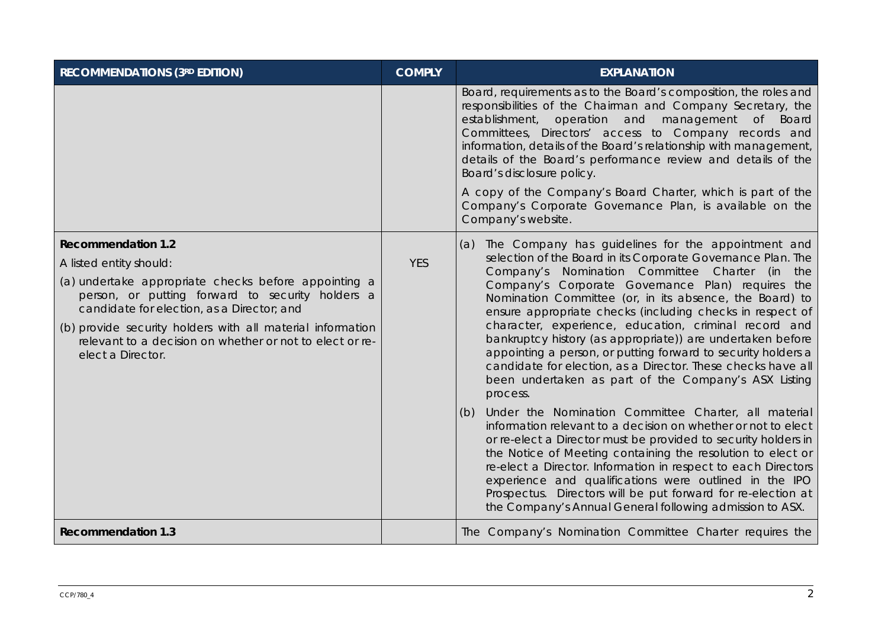| <b>RECOMMENDATIONS (3RD EDITION)</b>                                                                                                                                                                                                                                                                                                                          | <b>COMPLY</b> | <b>EXPLANATION</b>                                                                                                                                                                                                                                                                                                                                                                                                                                                                                                                                                                                                                                                                      |
|---------------------------------------------------------------------------------------------------------------------------------------------------------------------------------------------------------------------------------------------------------------------------------------------------------------------------------------------------------------|---------------|-----------------------------------------------------------------------------------------------------------------------------------------------------------------------------------------------------------------------------------------------------------------------------------------------------------------------------------------------------------------------------------------------------------------------------------------------------------------------------------------------------------------------------------------------------------------------------------------------------------------------------------------------------------------------------------------|
|                                                                                                                                                                                                                                                                                                                                                               |               | Board, requirements as to the Board's composition, the roles and<br>responsibilities of the Chairman and Company Secretary, the<br>establishment, operation and management of Board<br>Committees, Directors' access to Company records and<br>information, details of the Board's relationship with management,<br>details of the Board's performance review and details of the<br>Board's disclosure policy.<br>A copy of the Company's Board Charter, which is part of the<br>Company's Corporate Governance Plan, is available on the<br>Company's website.                                                                                                                         |
| <b>Recommendation 1.2</b><br>A listed entity should:<br>(a) undertake appropriate checks before appointing a<br>person, or putting forward to security holders a<br>candidate for election, as a Director; and<br>(b) provide security holders with all material information<br>relevant to a decision on whether or not to elect or re-<br>elect a Director. | <b>YES</b>    | The Company has guidelines for the appointment and<br>(a)<br>selection of the Board in its Corporate Governance Plan. The<br>Company's Nomination Committee Charter (in<br>the<br>Company's Corporate Governance Plan) requires the<br>Nomination Committee (or, in its absence, the Board) to<br>ensure appropriate checks (including checks in respect of<br>character, experience, education, criminal record and<br>bankruptcy history (as appropriate)) are undertaken before<br>appointing a person, or putting forward to security holders a<br>candidate for election, as a Director. These checks have all<br>been undertaken as part of the Company's ASX Listing<br>process. |
|                                                                                                                                                                                                                                                                                                                                                               |               | Under the Nomination Committee Charter, all material<br>(b)<br>information relevant to a decision on whether or not to elect<br>or re-elect a Director must be provided to security holders in<br>the Notice of Meeting containing the resolution to elect or<br>re-elect a Director. Information in respect to each Directors<br>experience and qualifications were outlined in the IPO<br>Prospectus. Directors will be put forward for re-election at<br>the Company's Annual General following admission to ASX.                                                                                                                                                                    |
| <b>Recommendation 1.3</b>                                                                                                                                                                                                                                                                                                                                     |               | The Company's Nomination Committee Charter requires the                                                                                                                                                                                                                                                                                                                                                                                                                                                                                                                                                                                                                                 |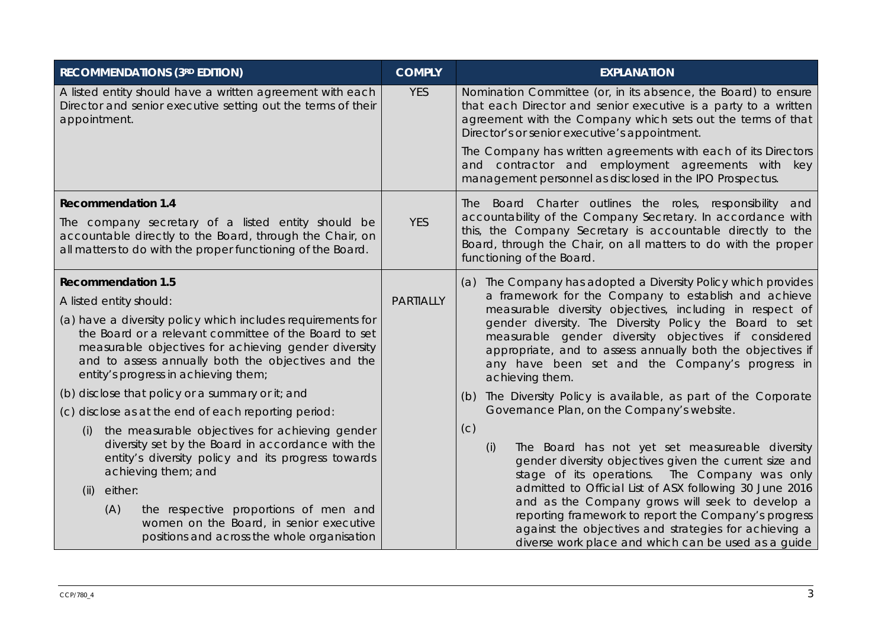| <b>RECOMMENDATIONS (3RD EDITION)</b>                                                                                                                                                                                                                                       | <b>COMPLY</b>    | <b>EXPLANATION</b>                                                                                                                                                                                                                                  |
|----------------------------------------------------------------------------------------------------------------------------------------------------------------------------------------------------------------------------------------------------------------------------|------------------|-----------------------------------------------------------------------------------------------------------------------------------------------------------------------------------------------------------------------------------------------------|
| A listed entity should have a written agreement with each<br>Director and senior executive setting out the terms of their<br>appointment.                                                                                                                                  | <b>YES</b>       | Nomination Committee (or, in its absence, the Board) to ensure<br>that each Director and senior executive is a party to a written<br>agreement with the Company which sets out the terms of that<br>Director's or senior executive's appointment.   |
|                                                                                                                                                                                                                                                                            |                  | The Company has written agreements with each of its Directors<br>and contractor and employment agreements with key<br>management personnel as disclosed in the IPO Prospectus.                                                                      |
| <b>Recommendation 1.4</b>                                                                                                                                                                                                                                                  |                  | The Board Charter outlines the roles, responsibility and<br>accountability of the Company Secretary. In accordance with                                                                                                                             |
| The company secretary of a listed entity should be<br>accountable directly to the Board, through the Chair, on<br>all matters to do with the proper functioning of the Board.                                                                                              | <b>YES</b>       | this, the Company Secretary is accountable directly to the<br>Board, through the Chair, on all matters to do with the proper<br>functioning of the Board.                                                                                           |
| <b>Recommendation 1.5</b>                                                                                                                                                                                                                                                  |                  | The Company has adopted a Diversity Policy which provides<br>(a)                                                                                                                                                                                    |
| A listed entity should:                                                                                                                                                                                                                                                    | <b>PARTIALLY</b> | a framework for the Company to establish and achieve<br>measurable diversity objectives, including in respect of                                                                                                                                    |
| (a) have a diversity policy which includes requirements for<br>the Board or a relevant committee of the Board to set<br>measurable objectives for achieving gender diversity<br>and to assess annually both the objectives and the<br>entity's progress in achieving them; |                  | gender diversity. The Diversity Policy the Board to set<br>measurable gender diversity objectives if considered<br>appropriate, and to assess annually both the objectives if<br>any have been set and the Company's progress in<br>achieving them. |
| (b) disclose that policy or a summary or it; and                                                                                                                                                                                                                           |                  | The Diversity Policy is available, as part of the Corporate<br>(b)                                                                                                                                                                                  |
| (c) disclose as at the end of each reporting period:                                                                                                                                                                                                                       |                  | Governance Plan, on the Company's website.                                                                                                                                                                                                          |
| the measurable objectives for achieving gender<br>(i)<br>diversity set by the Board in accordance with the<br>entity's diversity policy and its progress towards<br>achieving them; and                                                                                    |                  | (c)<br>The Board has not yet set measureable diversity<br>(i)<br>gender diversity objectives given the current size and<br>stage of its operations. The Company was only                                                                            |
| either:<br>(ii)                                                                                                                                                                                                                                                            |                  | admitted to Official List of ASX following 30 June 2016<br>and as the Company grows will seek to develop a                                                                                                                                          |
| (A)<br>the respective proportions of men and<br>women on the Board, in senior executive<br>positions and across the whole organisation                                                                                                                                     |                  | reporting framework to report the Company's progress<br>against the objectives and strategies for achieving a<br>diverse work place and which can be used as a guide                                                                                |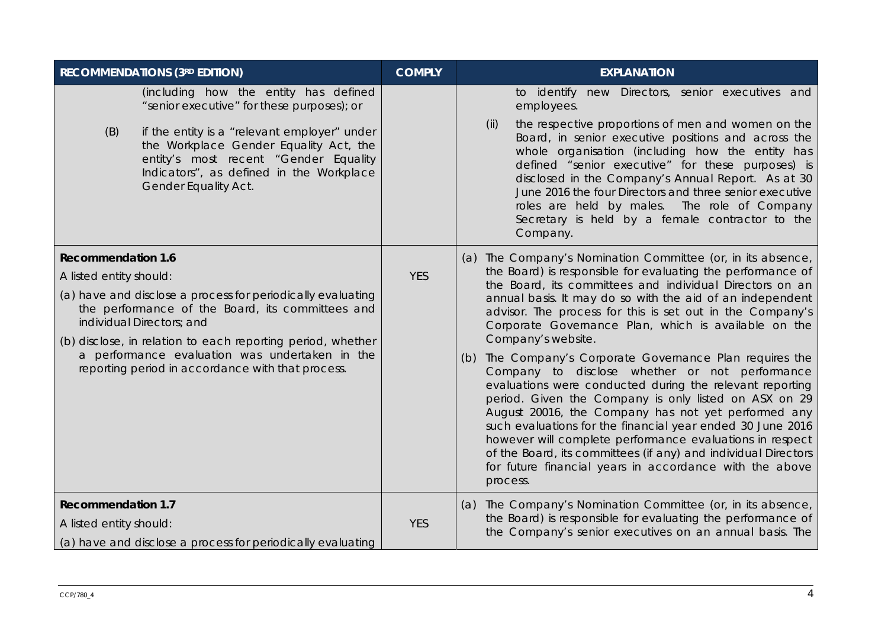| <b>RECOMMENDATIONS (3RD EDITION)</b>                                                                                                                                                                                                                                                                                                                                       | <b>COMPLY</b> | <b>EXPLANATION</b>                                                                                                                                                                                                                                                                                                                                                                                                                                                                                                                                                                                                                                                                                                                                                                                                                                                                                                                                             |
|----------------------------------------------------------------------------------------------------------------------------------------------------------------------------------------------------------------------------------------------------------------------------------------------------------------------------------------------------------------------------|---------------|----------------------------------------------------------------------------------------------------------------------------------------------------------------------------------------------------------------------------------------------------------------------------------------------------------------------------------------------------------------------------------------------------------------------------------------------------------------------------------------------------------------------------------------------------------------------------------------------------------------------------------------------------------------------------------------------------------------------------------------------------------------------------------------------------------------------------------------------------------------------------------------------------------------------------------------------------------------|
| (including how the entity has defined<br>"senior executive" for these purposes); or<br>if the entity is a "relevant employer" under<br>(B)<br>the Workplace Gender Equality Act, the<br>entity's most recent "Gender Equality<br>Indicators", as defined in the Workplace<br>Gender Equality Act.                                                                          |               | to identify new Directors, senior executives and<br>employees.<br>the respective proportions of men and women on the<br>(ii)<br>Board, in senior executive positions and across the<br>whole organisation (including how the entity has<br>defined "senior executive" for these purposes) is<br>disclosed in the Company's Annual Report. As at 30<br>June 2016 the four Directors and three senior executive<br>roles are held by males. The role of Company<br>Secretary is held by a female contractor to the<br>Company.                                                                                                                                                                                                                                                                                                                                                                                                                                   |
| <b>Recommendation 1.6</b><br>A listed entity should:<br>(a) have and disclose a process for periodically evaluating<br>the performance of the Board, its committees and<br>individual Directors; and<br>(b) disclose, in relation to each reporting period, whether<br>a performance evaluation was undertaken in the<br>reporting period in accordance with that process. | <b>YES</b>    | (a) The Company's Nomination Committee (or, in its absence,<br>the Board) is responsible for evaluating the performance of<br>the Board, its committees and individual Directors on an<br>annual basis. It may do so with the aid of an independent<br>advisor. The process for this is set out in the Company's<br>Corporate Governance Plan, which is available on the<br>Company's website.<br>The Company's Corporate Governance Plan requires the<br>(b)<br>Company to disclose whether or not performance<br>evaluations were conducted during the relevant reporting<br>period. Given the Company is only listed on ASX on 29<br>August 20016, the Company has not yet performed any<br>such evaluations for the financial year ended 30 June 2016<br>however will complete performance evaluations in respect<br>of the Board, its committees (if any) and individual Directors<br>for future financial years in accordance with the above<br>process. |
| <b>Recommendation 1.7</b><br>A listed entity should:<br>(a) have and disclose a process for periodically evaluating                                                                                                                                                                                                                                                        | <b>YES</b>    | The Company's Nomination Committee (or, in its absence,<br>(a)<br>the Board) is responsible for evaluating the performance of<br>the Company's senior executives on an annual basis. The                                                                                                                                                                                                                                                                                                                                                                                                                                                                                                                                                                                                                                                                                                                                                                       |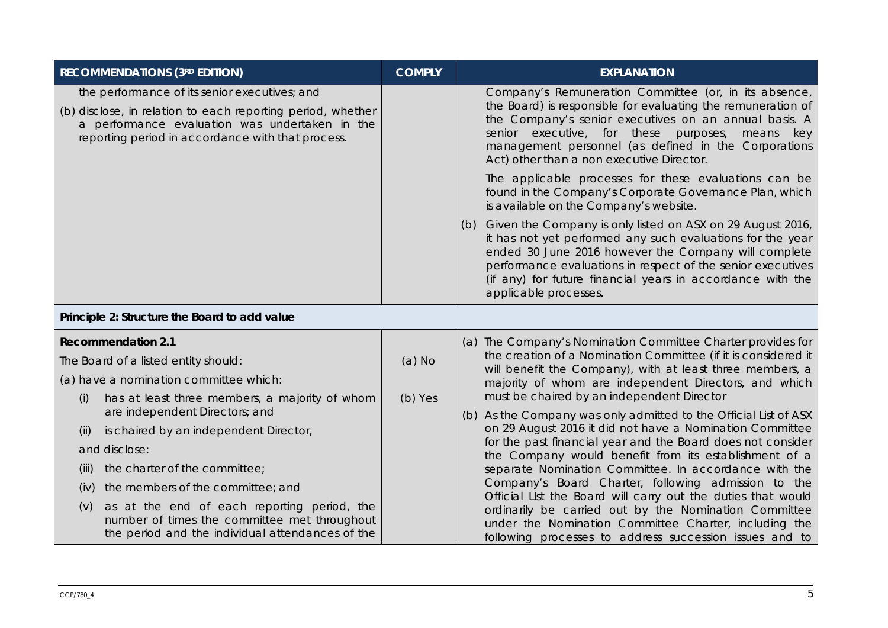| <b>RECOMMENDATIONS (3RD EDITION)</b>                                                                                                                                                                                | <b>COMPLY</b> | <b>EXPLANATION</b>                                                                                                                                                                                                                                                                                                                            |
|---------------------------------------------------------------------------------------------------------------------------------------------------------------------------------------------------------------------|---------------|-----------------------------------------------------------------------------------------------------------------------------------------------------------------------------------------------------------------------------------------------------------------------------------------------------------------------------------------------|
| the performance of its senior executives; and<br>(b) disclose, in relation to each reporting period, whether<br>a performance evaluation was undertaken in the<br>reporting period in accordance with that process. |               | Company's Remuneration Committee (or, in its absence,<br>the Board) is responsible for evaluating the remuneration of<br>the Company's senior executives on an annual basis. A<br>senior executive, for these purposes, means key<br>management personnel (as defined in the Corporations<br>Act) other than a non executive Director.        |
|                                                                                                                                                                                                                     |               | The applicable processes for these evaluations can be<br>found in the Company's Corporate Governance Plan, which<br>is available on the Company's website.                                                                                                                                                                                    |
|                                                                                                                                                                                                                     |               | Given the Company is only listed on ASX on 29 August 2016,<br>(b)<br>it has not yet performed any such evaluations for the year<br>ended 30 June 2016 however the Company will complete<br>performance evaluations in respect of the senior executives<br>(if any) for future financial years in accordance with the<br>applicable processes. |
| Principle 2: Structure the Board to add value                                                                                                                                                                       |               |                                                                                                                                                                                                                                                                                                                                               |
| <b>Recommendation 2.1</b>                                                                                                                                                                                           |               | (a) The Company's Nomination Committee Charter provides for                                                                                                                                                                                                                                                                                   |
| The Board of a listed entity should:                                                                                                                                                                                | $(a)$ No      | the creation of a Nomination Committee (if it is considered it<br>will benefit the Company), with at least three members, a                                                                                                                                                                                                                   |
| (a) have a nomination committee which:                                                                                                                                                                              |               | majority of whom are independent Directors, and which                                                                                                                                                                                                                                                                                         |
| has at least three members, a majority of whom<br>(i)<br>are independent Directors; and                                                                                                                             | (b) Yes       | must be chaired by an independent Director                                                                                                                                                                                                                                                                                                    |
| is chaired by an independent Director,<br>(ii)                                                                                                                                                                      |               | (b) As the Company was only admitted to the Official List of ASX<br>on 29 August 2016 it did not have a Nomination Committee                                                                                                                                                                                                                  |
| and disclose:                                                                                                                                                                                                       |               | for the past financial year and the Board does not consider                                                                                                                                                                                                                                                                                   |
| the charter of the committee;<br>(iii)                                                                                                                                                                              |               | the Company would benefit from its establishment of a<br>separate Nomination Committee. In accordance with the                                                                                                                                                                                                                                |
| the members of the committee; and<br>(iv)                                                                                                                                                                           |               | Company's Board Charter, following admission to the                                                                                                                                                                                                                                                                                           |
| as at the end of each reporting period, the<br>(V)<br>number of times the committee met throughout<br>the period and the individual attendances of the                                                              |               | Official LIst the Board will carry out the duties that would<br>ordinarily be carried out by the Nomination Committee<br>under the Nomination Committee Charter, including the<br>following processes to address succession issues and to                                                                                                     |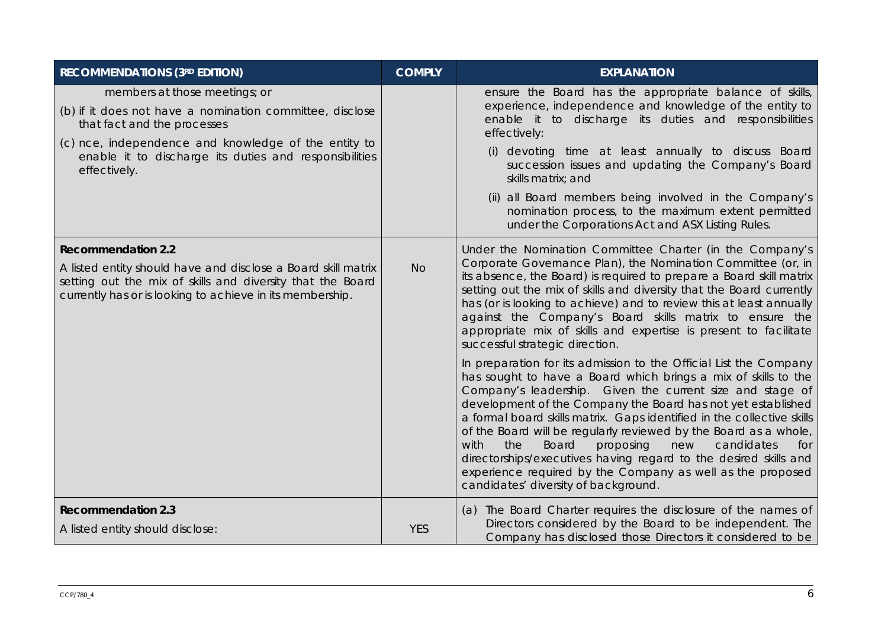| <b>RECOMMENDATIONS (3RD EDITION)</b>                                                                                                                                                                                                                       | <b>COMPLY</b> | <b>EXPLANATION</b>                                                                                                                                                                                                                                                                                                                                                                                                                                                                                                                                                                                                                                                                                                                                                                                                                                                                                                                                                                                                                                                                                                                                                                   |
|------------------------------------------------------------------------------------------------------------------------------------------------------------------------------------------------------------------------------------------------------------|---------------|--------------------------------------------------------------------------------------------------------------------------------------------------------------------------------------------------------------------------------------------------------------------------------------------------------------------------------------------------------------------------------------------------------------------------------------------------------------------------------------------------------------------------------------------------------------------------------------------------------------------------------------------------------------------------------------------------------------------------------------------------------------------------------------------------------------------------------------------------------------------------------------------------------------------------------------------------------------------------------------------------------------------------------------------------------------------------------------------------------------------------------------------------------------------------------------|
| members at those meetings; or<br>(b) if it does not have a nomination committee, disclose<br>that fact and the processes<br>(c) nce, independence and knowledge of the entity to<br>enable it to discharge its duties and responsibilities<br>effectively. |               | ensure the Board has the appropriate balance of skills,<br>experience, independence and knowledge of the entity to<br>enable it to discharge its duties and responsibilities<br>effectively:<br>(i) devoting time at least annually to discuss Board<br>succession issues and updating the Company's Board<br>skills matrix; and<br>(ii) all Board members being involved in the Company's<br>nomination process, to the maximum extent permitted<br>under the Corporations Act and ASX Listing Rules.                                                                                                                                                                                                                                                                                                                                                                                                                                                                                                                                                                                                                                                                               |
| <b>Recommendation 2.2</b><br>A listed entity should have and disclose a Board skill matrix<br>setting out the mix of skills and diversity that the Board<br>currently has or is looking to achieve in its membership.                                      | <b>No</b>     | Under the Nomination Committee Charter (in the Company's<br>Corporate Governance Plan), the Nomination Committee (or, in<br>its absence, the Board) is required to prepare a Board skill matrix<br>setting out the mix of skills and diversity that the Board currently<br>has (or is looking to achieve) and to review this at least annually<br>against the Company's Board skills matrix to ensure the<br>appropriate mix of skills and expertise is present to facilitate<br>successful strategic direction.<br>In preparation for its admission to the Official List the Company<br>has sought to have a Board which brings a mix of skills to the<br>Company's leadership. Given the current size and stage of<br>development of the Company the Board has not yet established<br>a formal board skills matrix. Gaps identified in the collective skills<br>of the Board will be regularly reviewed by the Board as a whole,<br>with<br>the<br><b>Board</b><br>proposing<br>candidates<br>new<br>for<br>directorships/executives having regard to the desired skills and<br>experience required by the Company as well as the proposed<br>candidates' diversity of background. |
| <b>Recommendation 2.3</b><br>A listed entity should disclose:                                                                                                                                                                                              | <b>YES</b>    | (a) The Board Charter requires the disclosure of the names of<br>Directors considered by the Board to be independent. The<br>Company has disclosed those Directors it considered to be                                                                                                                                                                                                                                                                                                                                                                                                                                                                                                                                                                                                                                                                                                                                                                                                                                                                                                                                                                                               |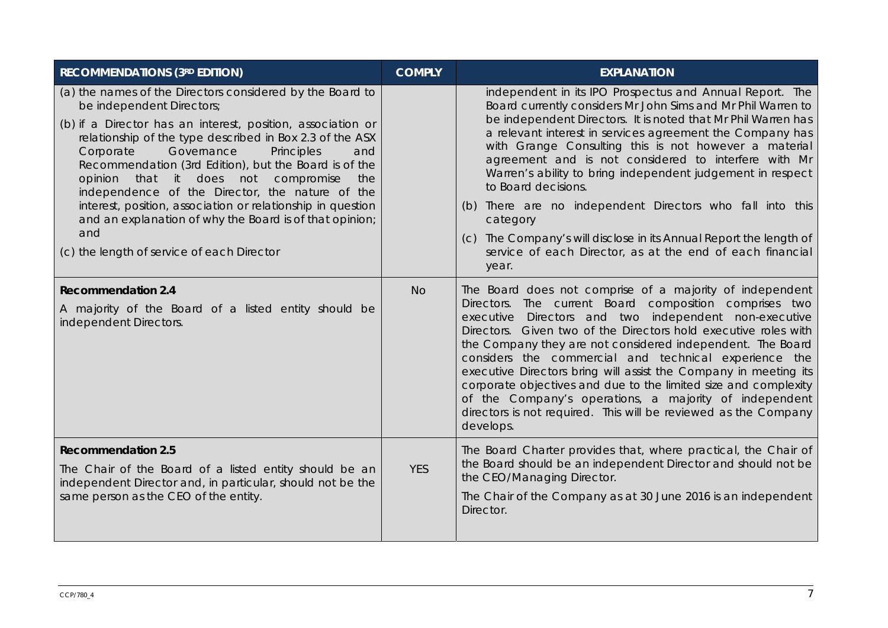| <b>RECOMMENDATIONS (3RD EDITION)</b>                                                                                                                                                                                                                                                                                                                                                                                                                                                                                                                                                                          | <b>COMPLY</b> | <b>EXPLANATION</b>                                                                                                                                                                                                                                                                                                                                                                                                                                                                                                                                                                                                                                                                |
|---------------------------------------------------------------------------------------------------------------------------------------------------------------------------------------------------------------------------------------------------------------------------------------------------------------------------------------------------------------------------------------------------------------------------------------------------------------------------------------------------------------------------------------------------------------------------------------------------------------|---------------|-----------------------------------------------------------------------------------------------------------------------------------------------------------------------------------------------------------------------------------------------------------------------------------------------------------------------------------------------------------------------------------------------------------------------------------------------------------------------------------------------------------------------------------------------------------------------------------------------------------------------------------------------------------------------------------|
| (a) the names of the Directors considered by the Board to<br>be independent Directors;<br>(b) if a Director has an interest, position, association or<br>relationship of the type described in Box 2.3 of the ASX<br>Governance<br>Principles<br>Corporate<br>and<br>Recommendation (3rd Edition), but the Board is of the<br>compromise<br>opinion that it does not<br>the<br>independence of the Director, the nature of the<br>interest, position, association or relationship in question<br>and an explanation of why the Board is of that opinion;<br>and<br>(c) the length of service of each Director |               | independent in its IPO Prospectus and Annual Report. The<br>Board currently considers Mr John Sims and Mr Phil Warren to<br>be independent Directors. It is noted that Mr Phil Warren has<br>a relevant interest in services agreement the Company has<br>with Grange Consulting this is not however a material<br>agreement and is not considered to interfere with Mr<br>Warren's ability to bring independent judgement in respect<br>to Board decisions.<br>(b) There are no independent Directors who fall into this<br>category<br>(c) The Company's will disclose in its Annual Report the length of<br>service of each Director, as at the end of each financial<br>year. |
| <b>Recommendation 2.4</b><br>A majority of the Board of a listed entity should be<br>independent Directors.                                                                                                                                                                                                                                                                                                                                                                                                                                                                                                   | <b>No</b>     | The Board does not comprise of a majority of independent<br>Directors. The current Board composition comprises two<br>executive Directors and two independent non-executive<br>Directors. Given two of the Directors hold executive roles with<br>the Company they are not considered independent. The Board<br>considers the commercial and technical experience the<br>executive Directors bring will assist the Company in meeting its<br>corporate objectives and due to the limited size and complexity<br>of the Company's operations, a majority of independent<br>directors is not required. This will be reviewed as the Company<br>develops.                            |
| <b>Recommendation 2.5</b><br>The Chair of the Board of a listed entity should be an<br>independent Director and, in particular, should not be the<br>same person as the CEO of the entity.                                                                                                                                                                                                                                                                                                                                                                                                                    | <b>YES</b>    | The Board Charter provides that, where practical, the Chair of<br>the Board should be an independent Director and should not be<br>the CEO/Managing Director.<br>The Chair of the Company as at 30 June 2016 is an independent<br>Director.                                                                                                                                                                                                                                                                                                                                                                                                                                       |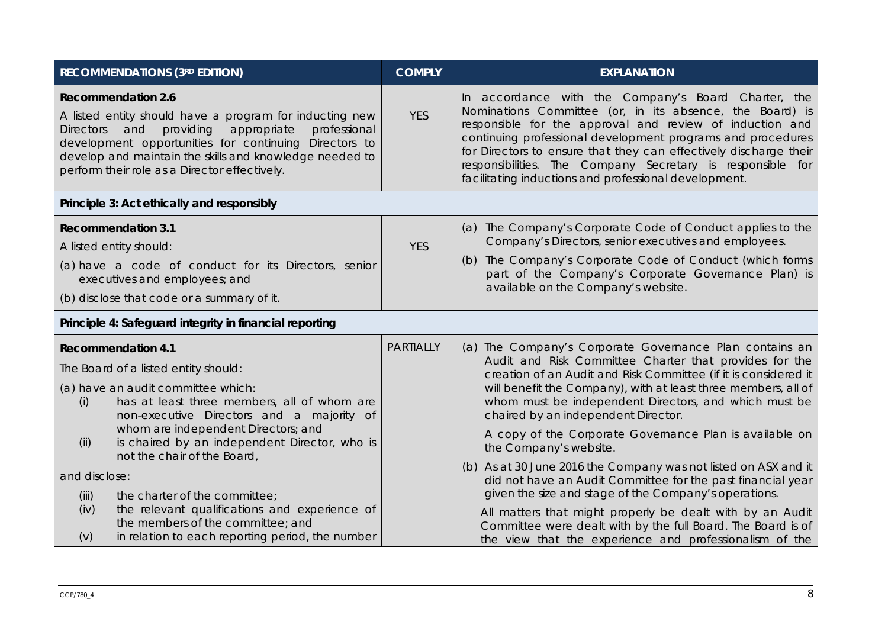| <b>RECOMMENDATIONS (3RD EDITION)</b>                                                                                                                                                                                                                                                                                             | <b>COMPLY</b>    | <b>EXPLANATION</b>                                                                                                                                                                                                                                                                                                                                                                                                                     |  |
|----------------------------------------------------------------------------------------------------------------------------------------------------------------------------------------------------------------------------------------------------------------------------------------------------------------------------------|------------------|----------------------------------------------------------------------------------------------------------------------------------------------------------------------------------------------------------------------------------------------------------------------------------------------------------------------------------------------------------------------------------------------------------------------------------------|--|
| <b>Recommendation 2.6</b><br>A listed entity should have a program for inducting new<br>providing<br>appropriate<br>professional<br><b>Directors</b><br>and<br>development opportunities for continuing Directors to<br>develop and maintain the skills and knowledge needed to<br>perform their role as a Director effectively. | <b>YES</b>       | In accordance with the Company's Board Charter, the<br>Nominations Committee (or, in its absence, the Board) is<br>responsible for the approval and review of induction and<br>continuing professional development programs and procedures<br>for Directors to ensure that they can effectively discharge their<br>responsibilities. The Company Secretary is responsible for<br>facilitating inductions and professional development. |  |
| Principle 3: Act ethically and responsibly                                                                                                                                                                                                                                                                                       |                  |                                                                                                                                                                                                                                                                                                                                                                                                                                        |  |
| <b>Recommendation 3.1</b><br>A listed entity should:                                                                                                                                                                                                                                                                             | <b>YES</b>       | (a) The Company's Corporate Code of Conduct applies to the<br>Company's Directors, senior executives and employees.                                                                                                                                                                                                                                                                                                                    |  |
| (a) have a code of conduct for its Directors, senior<br>executives and employees; and                                                                                                                                                                                                                                            |                  | (b) The Company's Corporate Code of Conduct (which forms<br>part of the Company's Corporate Governance Plan) is<br>available on the Company's website.                                                                                                                                                                                                                                                                                 |  |
| (b) disclose that code or a summary of it.                                                                                                                                                                                                                                                                                       |                  |                                                                                                                                                                                                                                                                                                                                                                                                                                        |  |
| Principle 4: Safeguard integrity in financial reporting                                                                                                                                                                                                                                                                          |                  |                                                                                                                                                                                                                                                                                                                                                                                                                                        |  |
| <b>Recommendation 4.1</b><br>The Board of a listed entity should:                                                                                                                                                                                                                                                                | <b>PARTIALLY</b> | (a) The Company's Corporate Governance Plan contains an<br>Audit and Risk Committee Charter that provides for the                                                                                                                                                                                                                                                                                                                      |  |
| (a) have an audit committee which:<br>has at least three members, all of whom are<br>(i)<br>non-executive Directors and a majority of                                                                                                                                                                                            |                  | creation of an Audit and Risk Committee (if it is considered it<br>will benefit the Company), with at least three members, all of<br>whom must be independent Directors, and which must be<br>chaired by an independent Director.                                                                                                                                                                                                      |  |
| whom are independent Directors; and<br>is chaired by an independent Director, who is<br>(ii)<br>not the chair of the Board,                                                                                                                                                                                                      |                  | A copy of the Corporate Governance Plan is available on<br>the Company's website.                                                                                                                                                                                                                                                                                                                                                      |  |
| and disclose:<br>the charter of the committee;<br>(iii)                                                                                                                                                                                                                                                                          |                  | (b) As at 30 June 2016 the Company was not listed on ASX and it<br>did not have an Audit Committee for the past financial year<br>given the size and stage of the Company's operations.                                                                                                                                                                                                                                                |  |
| the relevant qualifications and experience of<br>(iv)<br>the members of the committee; and<br>in relation to each reporting period, the number<br>(v)                                                                                                                                                                            |                  | All matters that might properly be dealt with by an Audit<br>Committee were dealt with by the full Board. The Board is of<br>the view that the experience and professionalism of the                                                                                                                                                                                                                                                   |  |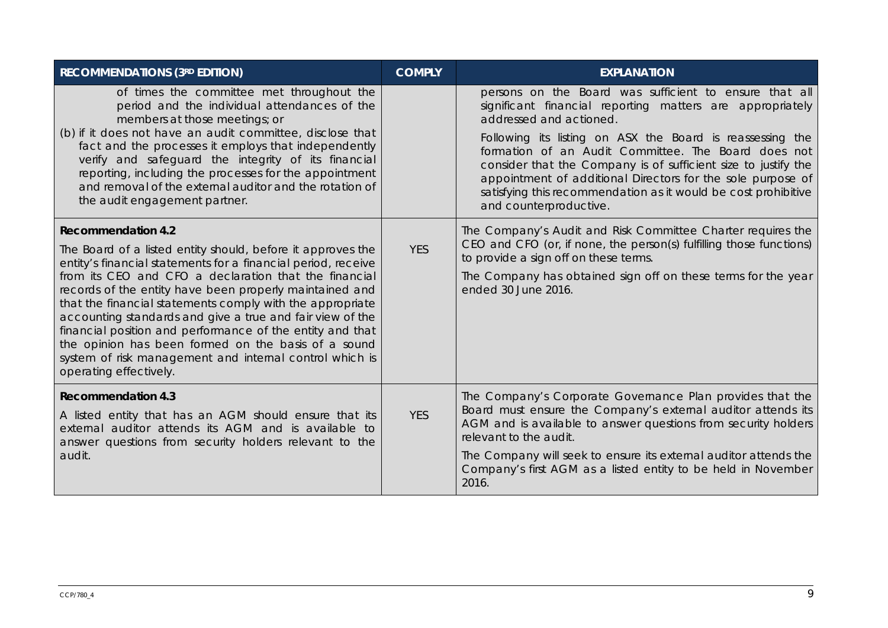| <b>RECOMMENDATIONS (3RD EDITION)</b>                                                                                                                                                                                                                              | <b>COMPLY</b> | <b>EXPLANATION</b>                                                                                                                                                                                                                                                                                                                            |
|-------------------------------------------------------------------------------------------------------------------------------------------------------------------------------------------------------------------------------------------------------------------|---------------|-----------------------------------------------------------------------------------------------------------------------------------------------------------------------------------------------------------------------------------------------------------------------------------------------------------------------------------------------|
| of times the committee met throughout the<br>period and the individual attendances of the<br>members at those meetings; or<br>(b) if it does not have an audit committee, disclose that                                                                           |               | persons on the Board was sufficient to ensure that all<br>significant financial reporting matters are appropriately<br>addressed and actioned.                                                                                                                                                                                                |
| fact and the processes it employs that independently<br>verify and safeguard the integrity of its financial<br>reporting, including the processes for the appointment<br>and removal of the external auditor and the rotation of<br>the audit engagement partner. |               | Following its listing on ASX the Board is reassessing the<br>formation of an Audit Committee. The Board does not<br>consider that the Company is of sufficient size to justify the<br>appointment of additional Directors for the sole purpose of<br>satisfying this recommendation as it would be cost prohibitive<br>and counterproductive. |
| <b>Recommendation 4.2</b>                                                                                                                                                                                                                                         |               | The Company's Audit and Risk Committee Charter requires the<br>CEO and CFO (or, if none, the person(s) fulfilling those functions)                                                                                                                                                                                                            |
| The Board of a listed entity should, before it approves the<br>entity's financial statements for a financial period, receive                                                                                                                                      | <b>YES</b>    | to provide a sign off on these terms.                                                                                                                                                                                                                                                                                                         |
| from its CEO and CFO a declaration that the financial<br>records of the entity have been properly maintained and                                                                                                                                                  |               | The Company has obtained sign off on these terms for the year<br>ended 30 June 2016.                                                                                                                                                                                                                                                          |
| that the financial statements comply with the appropriate                                                                                                                                                                                                         |               |                                                                                                                                                                                                                                                                                                                                               |
| accounting standards and give a true and fair view of the<br>financial position and performance of the entity and that                                                                                                                                            |               |                                                                                                                                                                                                                                                                                                                                               |
| the opinion has been formed on the basis of a sound<br>system of risk management and internal control which is<br>operating effectively.                                                                                                                          |               |                                                                                                                                                                                                                                                                                                                                               |
| <b>Recommendation 4.3</b>                                                                                                                                                                                                                                         |               | The Company's Corporate Governance Plan provides that the                                                                                                                                                                                                                                                                                     |
| A listed entity that has an AGM should ensure that its<br>external auditor attends its AGM and is available to<br>answer questions from security holders relevant to the                                                                                          | <b>YES</b>    | Board must ensure the Company's external auditor attends its<br>AGM and is available to answer questions from security holders<br>relevant to the audit.                                                                                                                                                                                      |
| audit.                                                                                                                                                                                                                                                            |               | The Company will seek to ensure its external auditor attends the<br>Company's first AGM as a listed entity to be held in November<br>2016.                                                                                                                                                                                                    |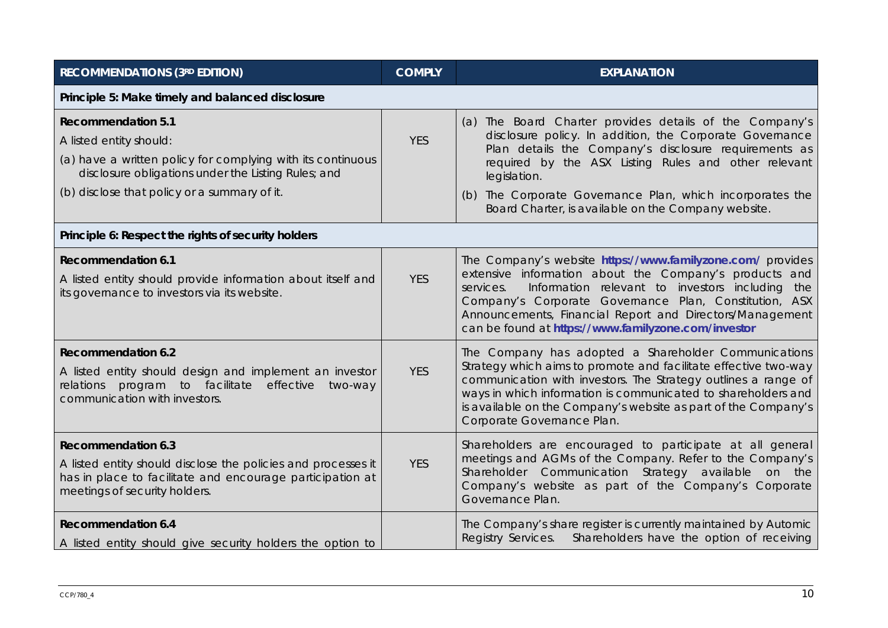| <b>RECOMMENDATIONS (3RD EDITION)</b>                                                                                                                                                                                       | <b>COMPLY</b> | <b>EXPLANATION</b>                                                                                                                                                                                                                                                                                                                                                       |
|----------------------------------------------------------------------------------------------------------------------------------------------------------------------------------------------------------------------------|---------------|--------------------------------------------------------------------------------------------------------------------------------------------------------------------------------------------------------------------------------------------------------------------------------------------------------------------------------------------------------------------------|
| Principle 5: Make timely and balanced disclosure                                                                                                                                                                           |               |                                                                                                                                                                                                                                                                                                                                                                          |
| <b>Recommendation 5.1</b><br>A listed entity should:<br>(a) have a written policy for complying with its continuous<br>disclosure obligations under the Listing Rules; and<br>(b) disclose that policy or a summary of it. | <b>YES</b>    | (a) The Board Charter provides details of the Company's<br>disclosure policy. In addition, the Corporate Governance<br>Plan details the Company's disclosure requirements as<br>required by the ASX Listing Rules and other relevant<br>legislation.<br>(b) The Corporate Governance Plan, which incorporates the<br>Board Charter, is available on the Company website. |
| Principle 6: Respect the rights of security holders                                                                                                                                                                        |               |                                                                                                                                                                                                                                                                                                                                                                          |
| <b>Recommendation 6.1</b><br>A listed entity should provide information about itself and<br>its governance to investors via its website.                                                                                   | <b>YES</b>    | The Company's website https://www.familyzone.com/ provides<br>extensive information about the Company's products and<br>Information relevant to investors including<br>services.<br>the<br>Company's Corporate Governance Plan, Constitution, ASX<br>Announcements, Financial Report and Directors/Management<br>can be found at https://www.familyzone.com/investor     |
| <b>Recommendation 6.2</b><br>A listed entity should design and implement an investor<br>relations program to facilitate effective two-way<br>communication with investors.                                                 | <b>YES</b>    | The Company has adopted a Shareholder Communications<br>Strategy which aims to promote and facilitate effective two-way<br>communication with investors. The Strategy outlines a range of<br>ways in which information is communicated to shareholders and<br>is available on the Company's website as part of the Company's<br>Corporate Governance Plan.               |
| <b>Recommendation 6.3</b><br>A listed entity should disclose the policies and processes it<br>has in place to facilitate and encourage participation at<br>meetings of security holders.                                   | <b>YES</b>    | Shareholders are encouraged to participate at all general<br>meetings and AGMs of the Company. Refer to the Company's<br>Shareholder Communication Strategy available on the<br>Company's website as part of the Company's Corporate<br>Governance Plan.                                                                                                                 |
| <b>Recommendation 6.4</b><br>A listed entity should give security holders the option to                                                                                                                                    |               | The Company's share register is currently maintained by Automic<br>Shareholders have the option of receiving<br>Registry Services.                                                                                                                                                                                                                                       |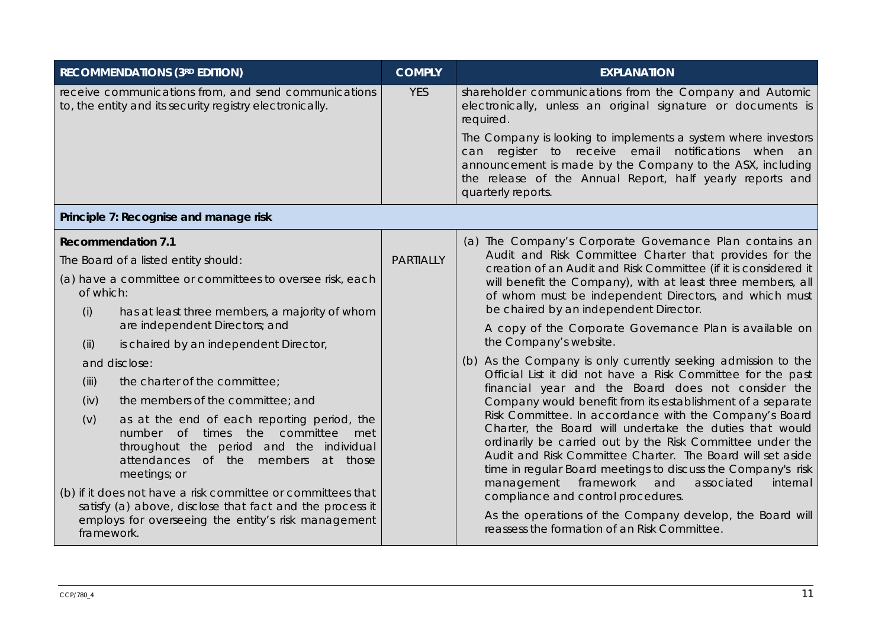|            | <b>RECOMMENDATIONS (3RD EDITION)</b>                                                                                                                                                      | <b>COMPLY</b>                  | <b>EXPLANATION</b>                                                                                                                                                                                                                                                                                                                     |  |  |  |  |  |  |
|------------|-------------------------------------------------------------------------------------------------------------------------------------------------------------------------------------------|--------------------------------|----------------------------------------------------------------------------------------------------------------------------------------------------------------------------------------------------------------------------------------------------------------------------------------------------------------------------------------|--|--|--|--|--|--|
|            | receive communications from, and send communications<br>to, the entity and its security registry electronically.                                                                          | <b>YES</b>                     | shareholder communications from the Company and Automic<br>electronically, unless an original signature or documents is<br>required.                                                                                                                                                                                                   |  |  |  |  |  |  |
|            |                                                                                                                                                                                           |                                | The Company is looking to implements a system where investors<br>can register to receive email notifications when an<br>announcement is made by the Company to the ASX, including<br>the release of the Annual Report, half yearly reports and<br>quarterly reports.                                                                   |  |  |  |  |  |  |
|            | Principle 7: Recognise and manage risk                                                                                                                                                    |                                |                                                                                                                                                                                                                                                                                                                                        |  |  |  |  |  |  |
|            | <b>Recommendation 7.1</b>                                                                                                                                                                 |                                | (a) The Company's Corporate Governance Plan contains an                                                                                                                                                                                                                                                                                |  |  |  |  |  |  |
|            | The Board of a listed entity should:                                                                                                                                                      | <b>PARTIALLY</b>               | Audit and Risk Committee Charter that provides for the<br>creation of an Audit and Risk Committee (if it is considered it                                                                                                                                                                                                              |  |  |  |  |  |  |
| of which:  | (a) have a committee or committees to oversee risk, each                                                                                                                                  |                                | will benefit the Company), with at least three members, all<br>of whom must be independent Directors, and which must<br>be chaired by an independent Director.                                                                                                                                                                         |  |  |  |  |  |  |
| (i)        | has at least three members, a majority of whom<br>are independent Directors; and                                                                                                          |                                | A copy of the Corporate Governance Plan is available on                                                                                                                                                                                                                                                                                |  |  |  |  |  |  |
| (ii)       | is chaired by an independent Director,                                                                                                                                                    |                                |                                                                                                                                                                                                                                                                                                                                        |  |  |  |  |  |  |
|            | and disclose:                                                                                                                                                                             |                                | (b) As the Company is only currently seeking admission to the                                                                                                                                                                                                                                                                          |  |  |  |  |  |  |
| (iii)      | the charter of the committee;                                                                                                                                                             |                                | Official List it did not have a Risk Committee for the past<br>financial year and the Board does not consider the                                                                                                                                                                                                                      |  |  |  |  |  |  |
| (iv)       | the members of the committee; and                                                                                                                                                         |                                | Company would benefit from its establishment of a separate                                                                                                                                                                                                                                                                             |  |  |  |  |  |  |
| (v)        | as at the end of each reporting period, the<br>number of times the committee<br>met<br>throughout the period and the individual<br>attendances of the members<br>at those<br>meetings; or | management<br>framework<br>and | Risk Committee. In accordance with the Company's Board<br>Charter, the Board will undertake the duties that would<br>ordinarily be carried out by the Risk Committee under the<br>Audit and Risk Committee Charter. The Board will set aside<br>time in regular Board meetings to discuss the Company's risk<br>associated<br>internal |  |  |  |  |  |  |
| framework. | (b) if it does not have a risk committee or committees that<br>satisfy (a) above, disclose that fact and the process it<br>employs for overseeing the entity's risk management            |                                | compliance and control procedures.<br>As the operations of the Company develop, the Board will<br>reassess the formation of an Risk Committee.                                                                                                                                                                                         |  |  |  |  |  |  |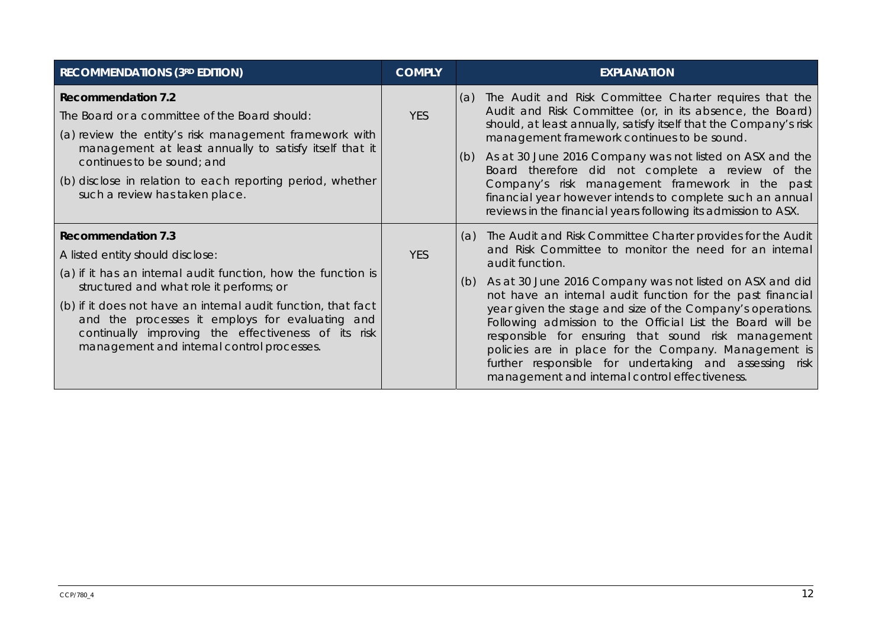| <b>RECOMMENDATIONS (3RD EDITION)</b>                                                                                                                                                                                                                                                                                                                                                                | <b>COMPLY</b> | <b>EXPLANATION</b>                                                                                                                                                                                                                                                                                                                                                                                                                                                                                                                                                                                                                      |
|-----------------------------------------------------------------------------------------------------------------------------------------------------------------------------------------------------------------------------------------------------------------------------------------------------------------------------------------------------------------------------------------------------|---------------|-----------------------------------------------------------------------------------------------------------------------------------------------------------------------------------------------------------------------------------------------------------------------------------------------------------------------------------------------------------------------------------------------------------------------------------------------------------------------------------------------------------------------------------------------------------------------------------------------------------------------------------------|
| <b>Recommendation 7.2</b><br>The Board or a committee of the Board should:<br>(a) review the entity's risk management framework with<br>management at least annually to satisfy itself that it<br>continues to be sound; and<br>(b) disclose in relation to each reporting period, whether<br>such a review has taken place.                                                                        | <b>YES</b>    | The Audit and Risk Committee Charter requires that the<br>(a)<br>Audit and Risk Committee (or, in its absence, the Board)<br>should, at least annually, satisfy itself that the Company's risk<br>management framework continues to be sound.<br>As at 30 June 2016 Company was not listed on ASX and the<br>(b)<br>Board therefore did not complete a review of the<br>Company's risk management framework in the past<br>financial year however intends to complete such an annual<br>reviews in the financial years following its admission to ASX.                                                                                  |
| <b>Recommendation 7.3</b><br>A listed entity should disclose:<br>(a) if it has an internal audit function, how the function is<br>structured and what role it performs; or<br>(b) if it does not have an internal audit function, that fact<br>and the processes it employs for evaluating and<br>continually improving the effectiveness of its risk<br>management and internal control processes. | <b>YES</b>    | The Audit and Risk Committee Charter provides for the Audit<br>(a)<br>and Risk Committee to monitor the need for an internal<br>audit function.<br>As at 30 June 2016 Company was not listed on ASX and did<br>(b)<br>not have an internal audit function for the past financial<br>year given the stage and size of the Company's operations.<br>Following admission to the Official List the Board will be<br>responsible for ensuring that sound risk management<br>policies are in place for the Company. Management is<br>further responsible for undertaking and assessing risk<br>management and internal control effectiveness. |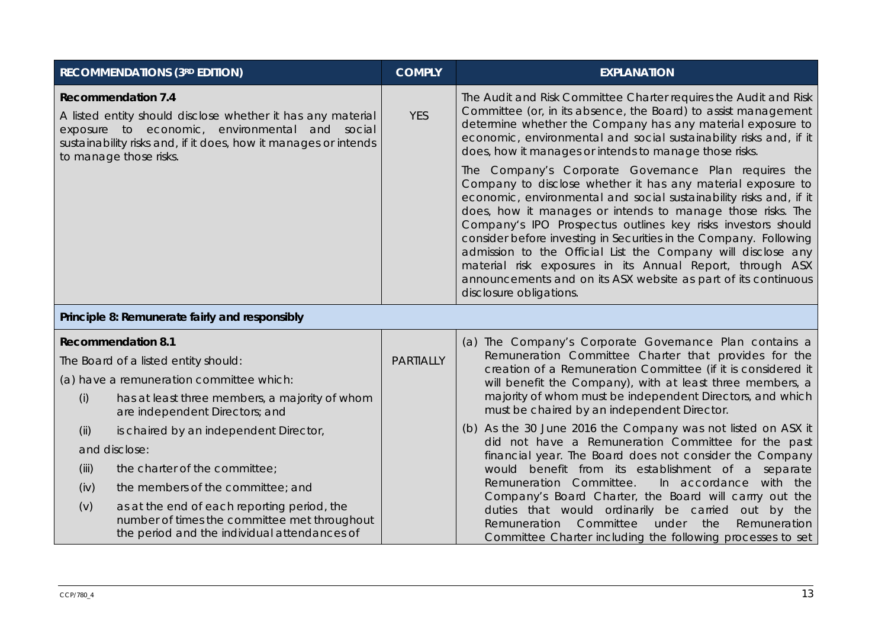| <b>RECOMMENDATIONS (3RD EDITION)</b>                                                                                                                                                                                                    |                                                                                                                                             | <b>COMPLY</b>    | <b>EXPLANATION</b>                                                                                                                                                                                                                                                                                                                                                                                                                                                                                                                                                                                                     |  |
|-----------------------------------------------------------------------------------------------------------------------------------------------------------------------------------------------------------------------------------------|---------------------------------------------------------------------------------------------------------------------------------------------|------------------|------------------------------------------------------------------------------------------------------------------------------------------------------------------------------------------------------------------------------------------------------------------------------------------------------------------------------------------------------------------------------------------------------------------------------------------------------------------------------------------------------------------------------------------------------------------------------------------------------------------------|--|
| <b>Recommendation 7.4</b><br>A listed entity should disclose whether it has any material<br>exposure to economic, environmental and social<br>sustainability risks and, if it does, how it manages or intends<br>to manage those risks. |                                                                                                                                             | <b>YES</b>       | The Audit and Risk Committee Charter requires the Audit and Risk<br>Committee (or, in its absence, the Board) to assist management<br>determine whether the Company has any material exposure to<br>economic, environmental and social sustainability risks and, if it<br>does, how it manages or intends to manage those risks.                                                                                                                                                                                                                                                                                       |  |
|                                                                                                                                                                                                                                         |                                                                                                                                             |                  | The Company's Corporate Governance Plan requires the<br>Company to disclose whether it has any material exposure to<br>economic, environmental and social sustainability risks and, if it<br>does, how it manages or intends to manage those risks. The<br>Company's IPO Prospectus outlines key risks investors should<br>consider before investing in Securities in the Company. Following<br>admission to the Official List the Company will disclose any<br>material risk exposures in its Annual Report, through ASX<br>announcements and on its ASX website as part of its continuous<br>disclosure obligations. |  |
| Principle 8: Remunerate fairly and responsibly                                                                                                                                                                                          |                                                                                                                                             |                  |                                                                                                                                                                                                                                                                                                                                                                                                                                                                                                                                                                                                                        |  |
| <b>Recommendation 8.1</b>                                                                                                                                                                                                               |                                                                                                                                             | <b>PARTIALLY</b> | (a) The Company's Corporate Governance Plan contains a<br>Remuneration Committee Charter that provides for the<br>creation of a Remuneration Committee (if it is considered it<br>will benefit the Company), with at least three members, a                                                                                                                                                                                                                                                                                                                                                                            |  |
| The Board of a listed entity should:                                                                                                                                                                                                    |                                                                                                                                             |                  |                                                                                                                                                                                                                                                                                                                                                                                                                                                                                                                                                                                                                        |  |
| (a) have a remuneration committee which:                                                                                                                                                                                                |                                                                                                                                             |                  |                                                                                                                                                                                                                                                                                                                                                                                                                                                                                                                                                                                                                        |  |
| (i)                                                                                                                                                                                                                                     | has at least three members, a majority of whom<br>are independent Directors; and                                                            |                  | majority of whom must be independent Directors, and which<br>must be chaired by an independent Director.                                                                                                                                                                                                                                                                                                                                                                                                                                                                                                               |  |
| (ii)                                                                                                                                                                                                                                    | is chaired by an independent Director,                                                                                                      |                  | (b) As the 30 June 2016 the Company was not listed on ASX it<br>did not have a Remuneration Committee for the past                                                                                                                                                                                                                                                                                                                                                                                                                                                                                                     |  |
| and disclose:                                                                                                                                                                                                                           |                                                                                                                                             |                  | financial year. The Board does not consider the Company                                                                                                                                                                                                                                                                                                                                                                                                                                                                                                                                                                |  |
| (iii)                                                                                                                                                                                                                                   | the charter of the committee;                                                                                                               |                  | would benefit from its establishment of a separate<br>Remuneration Committee.<br>In accordance with the<br>Company's Board Charter, the Board will carrry out the<br>duties that would ordinarily be carried out by the<br>Committee<br>under<br>the<br>Remuneration<br>Remuneration<br>Committee Charter including the following processes to set                                                                                                                                                                                                                                                                     |  |
| (iv)                                                                                                                                                                                                                                    | the members of the committee; and                                                                                                           |                  |                                                                                                                                                                                                                                                                                                                                                                                                                                                                                                                                                                                                                        |  |
| (v)                                                                                                                                                                                                                                     | as at the end of each reporting period, the<br>number of times the committee met throughout<br>the period and the individual attendances of |                  |                                                                                                                                                                                                                                                                                                                                                                                                                                                                                                                                                                                                                        |  |